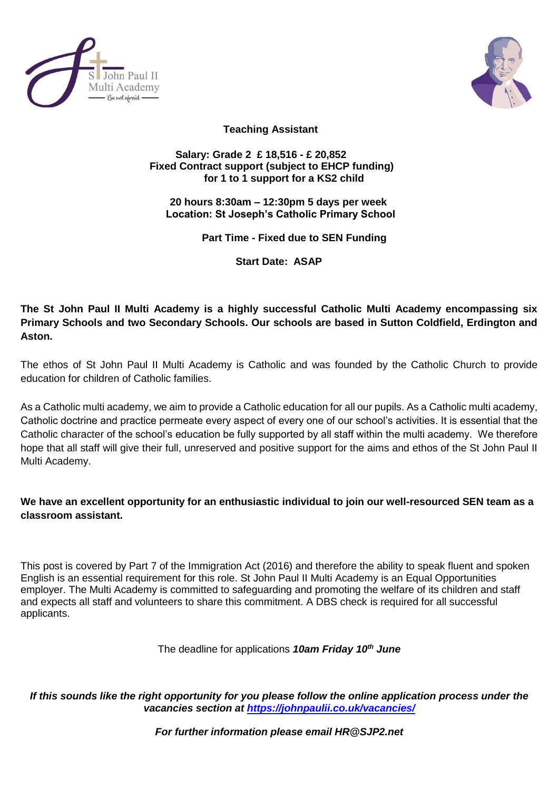



 **Teaching Assistant** 

## **Salary: Grade 2 £ 18,516 - £ 20,852 Fixed Contract support (subject to EHCP funding) for 1 to 1 support for a KS2 child**

 **20 hours 8:30am – 12:30pm 5 days per week Location: St Joseph's Catholic Primary School**

 **Part Time - Fixed due to SEN Funding**

 **Start Date: ASAP**

**The St John Paul II Multi Academy is a highly successful Catholic Multi Academy encompassing six Primary Schools and two Secondary Schools. Our schools are based in Sutton Coldfield, Erdington and Aston.**

The ethos of St John Paul II Multi Academy is Catholic and was founded by the Catholic Church to provide education for children of Catholic families.

As a Catholic multi academy, we aim to provide a Catholic education for all our pupils. As a Catholic multi academy, Catholic doctrine and practice permeate every aspect of every one of our school's activities. It is essential that the Catholic character of the school's education be fully supported by all staff within the multi academy. We therefore hope that all staff will give their full, unreserved and positive support for the aims and ethos of the St John Paul II Multi Academy.

**We have an excellent opportunity for an enthusiastic individual to join our well-resourced SEN team as a classroom assistant.** 

This post is covered by Part 7 of the Immigration Act (2016) and therefore the ability to speak fluent and spoken English is an essential requirement for this role. St John Paul II Multi Academy is an Equal Opportunities employer. The Multi Academy is committed to safeguarding and promoting the welfare of its children and staff and expects all staff and volunteers to share this commitment. A DBS check is required for all successful applicants.

The deadline for applications *10am Friday 10th June*

*If this sounds like the right opportunity for you please follow the online application process under the vacancies section at<https://johnpaulii.co.uk/vacancies/>*

*For further information please email HR@SJP2.net*